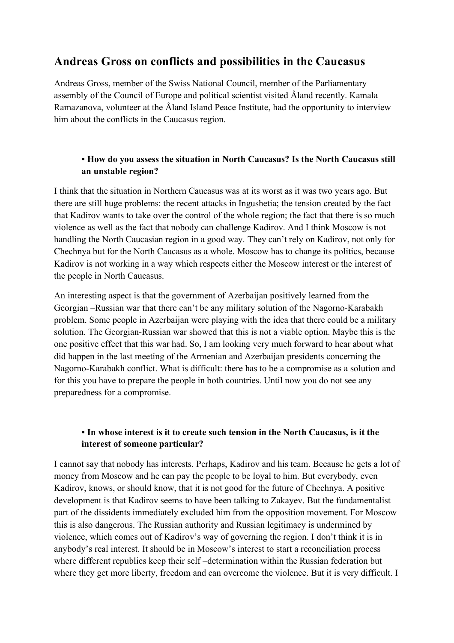# **Andreas Gross on conflicts and possibilities in the Caucasus**

Andreas Gross, member of the Swiss National Council, member of the Parliamentary assembly of the Council of Europe and political scientist visited Åland recently. Kamala Ramazanova, volunteer at the Åland Island Peace Institute, had the opportunity to interview him about the conflicts in the Caucasus region.

#### **• How do you assess the situation in North Caucasus? Is the North Caucasus still an unstable region?**

I think that the situation in Northern Caucasus was at its worst as it was two years ago. But there are still huge problems: the recent attacks in Ingushetia; the tension created by the fact that Kadirov wants to take over the control of the whole region; the fact that there is so much violence as well as the fact that nobody can challenge Kadirov. And I think Moscow is not handling the North Caucasian region in a good way. They can't rely on Kadirov, not only for Chechnya but for the North Caucasus as a whole. Moscow has to change its politics, because Kadirov is not working in a way which respects either the Moscow interest or the interest of the people in North Caucasus.

An interesting aspect is that the government of Azerbaijan positively learned from the Georgian –Russian war that there can't be any military solution of the Nagorno-Karabakh problem. Some people in Azerbaijan were playing with the idea that there could be a military solution. The Georgian-Russian war showed that this is not a viable option. Maybe this is the one positive effect that this war had. So, I am looking very much forward to hear about what did happen in the last meeting of the Armenian and Azerbaijan presidents concerning the Nagorno-Karabakh conflict. What is difficult: there has to be a compromise as a solution and for this you have to prepare the people in both countries. Until now you do not see any preparedness for a compromise.

#### **• In whose interest is it to create such tension in the North Caucasus, is it the interest of someone particular?**

I cannot say that nobody has interests. Perhaps, Kadirov and his team. Because he gets a lot of money from Moscow and he can pay the people to be loyal to him. But everybody, even Kadirov, knows, or should know, that it is not good for the future of Chechnya. A positive development is that Kadirov seems to have been talking to Zakayev. But the fundamentalist part of the dissidents immediately excluded him from the opposition movement. For Moscow this is also dangerous. The Russian authority and Russian legitimacy is undermined by violence, which comes out of Kadirov's way of governing the region. I don't think it is in anybody's real interest. It should be in Moscow's interest to start a reconciliation process where different republics keep their self –determination within the Russian federation but where they get more liberty, freedom and can overcome the violence. But it is very difficult. I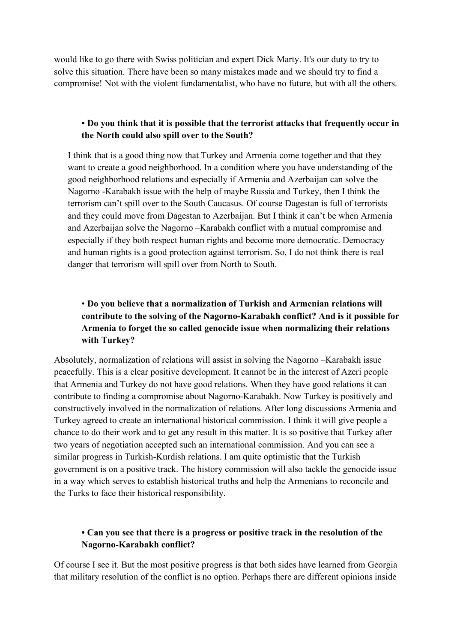would like to go there with Swiss politician and expert Dick Marty. It's our duty to try to solve this situation. There have been so many mistakes made and we should try to find a compromise! Not with the violent fundamentalist, who have no future, but with all the others.

#### **• Do you think that it is possible that the terrorist attacks that frequently occur in the North could also spill over to the South?**

I think that is a good thing now that Turkey and Armenia come together and that they want to create a good neighborhood. In a condition where you have understanding of the good neighborhood relations and especially if Armenia and Azerbaijan can solve the Nagorno -Karabakh issue with the help of maybe Russia and Turkey, then I think the terrorism can't spill over to the South Caucasus. Of course Dagestan is full of terrorists and they could move from Dagestan to Azerbaijan. But I think it can't be when Armenia and Azerbaijan solve the Nagorno –Karabakh conflict with a mutual compromise and especially if they both respect human rights and become more democratic. Democracy and human rights is a good protection against terrorism. So, I do not think there is real danger that terrorism will spill over from North to South.

## • **Do you believe that a normalization of Turkish and Armenian relations will contribute to the solving of the Nagorno-Karabakh conflict? And is it possible for Armenia to forget the so called genocide issue when normalizing their relations with Turkey?**

Absolutely, normalization of relations will assist in solving the Nagorno –Karabakh issue peacefully. This is a clear positive development. It cannot be in the interest of Azeri people that Armenia and Turkey do not have good relations. When they have good relations it can contribute to finding a compromise about Nagorno-Karabakh. Now Turkey is positively and constructively involved in the normalization of relations. After long discussions Armenia and Turkey agreed to create an international historical commission. I think it will give people a chance to do their work and to get any result in this matter. It is so positive that Turkey after two years of negotiation accepted such an international commission. And you can see a similar progress in Turkish-Kurdish relations. I am quite optimistic that the Turkish government is on a positive track. The history commission will also tackle the genocide issue in a way which serves to establish historical truths and help the Armenians to reconcile and the Turks to face their historical responsibility.

### **• Can you see that there is a progress or positive track in the resolution of the Nagorno-Karabakh conflict?**

Of course I see it. But the most positive progress is that both sides have learned from Georgia that military resolution of the conflict is no option. Perhaps there are different opinions inside